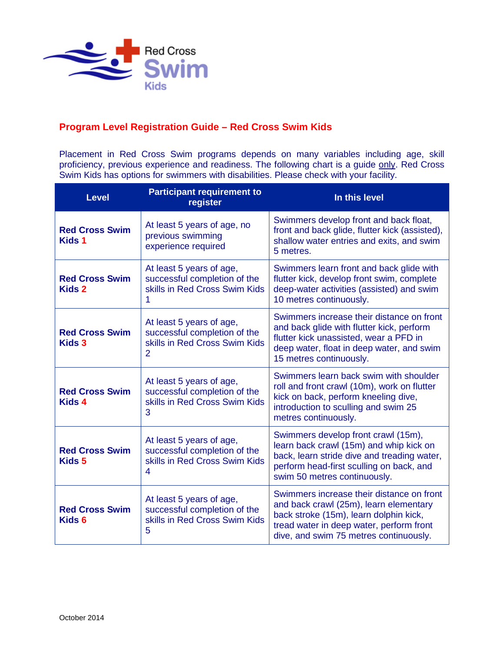

## **Program Level Registration Guide – Red Cross Swim Kids**

Placement in Red Cross Swim programs depends on many variables including age, skill proficiency, previous experience and readiness. The following chart is a guide only. Red Cross Swim Kids has options for swimmers with disabilities. Please check with your facility.

| <b>Level</b>                               | <b>Participant requirement to</b><br>register                                                               | In this level                                                                                                                                                                                                       |
|--------------------------------------------|-------------------------------------------------------------------------------------------------------------|---------------------------------------------------------------------------------------------------------------------------------------------------------------------------------------------------------------------|
| <b>Red Cross Swim</b><br><b>Kids 1</b>     | At least 5 years of age, no<br>previous swimming<br>experience required                                     | Swimmers develop front and back float,<br>front and back glide, flutter kick (assisted),<br>shallow water entries and exits, and swim<br>5 metres.                                                                  |
| <b>Red Cross Swim</b><br><b>Kids 2</b>     | At least 5 years of age,<br>successful completion of the<br>skills in Red Cross Swim Kids<br>1              | Swimmers learn front and back glide with<br>flutter kick, develop front swim, complete<br>deep-water activities (assisted) and swim<br>10 metres continuously.                                                      |
| <b>Red Cross Swim</b><br>Kids 3            | At least 5 years of age,<br>successful completion of the<br>skills in Red Cross Swim Kids<br>$\overline{2}$ | Swimmers increase their distance on front<br>and back glide with flutter kick, perform<br>flutter kick unassisted, wear a PFD in<br>deep water, float in deep water, and swim<br>15 metres continuously.            |
| <b>Red Cross Swim</b><br>Kids 4            | At least 5 years of age,<br>successful completion of the<br>skills in Red Cross Swim Kids<br>3              | Swimmers learn back swim with shoulder<br>roll and front crawl (10m), work on flutter<br>kick on back, perform kneeling dive,<br>introduction to sculling and swim 25<br>metres continuously.                       |
| <b>Red Cross Swim</b><br>Kids 5            | At least 5 years of age,<br>successful completion of the<br>skills in Red Cross Swim Kids<br>4              | Swimmers develop front crawl (15m),<br>learn back crawl (15m) and whip kick on<br>back, learn stride dive and treading water,<br>perform head-first sculling on back, and<br>swim 50 metres continuously.           |
| <b>Red Cross Swim</b><br>Kids <sub>6</sub> | At least 5 years of age,<br>successful completion of the<br>skills in Red Cross Swim Kids<br>5              | Swimmers increase their distance on front<br>and back crawl (25m), learn elementary<br>back stroke (15m), learn dolphin kick,<br>tread water in deep water, perform front<br>dive, and swim 75 metres continuously. |